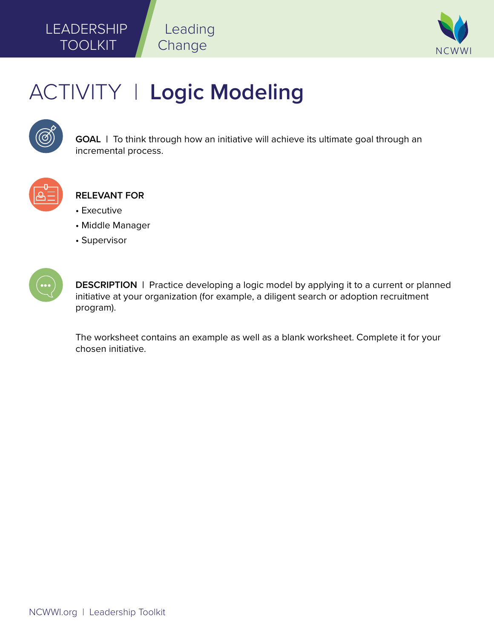

# ACTIVITY | **Logic Modeling**

Leading

Change



**GOAL** | To think through how an initiative will achieve its ultimate goal through an incremental process.



**RELEVANT FOR**

- Executive
- Middle Manager
- Supervisor



**DESCRIPTION** | Practice developing a logic model by applying it to a current or planned initiative at your organization (for example, a diligent search or adoption recruitment program).

The worksheet contains an example as well as a blank worksheet. Complete it for your chosen initiative.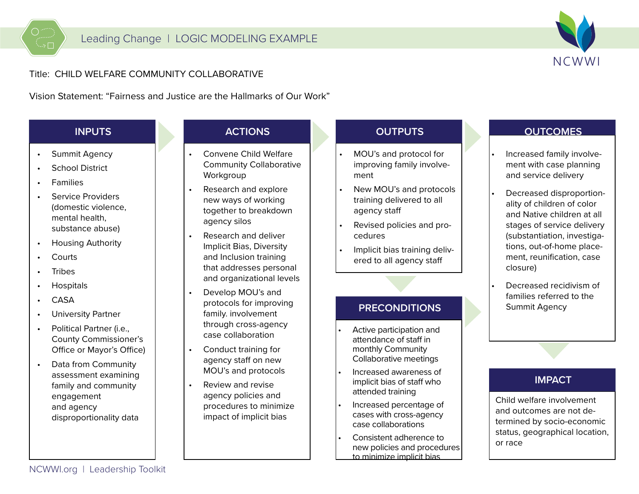

## Title: CHILD WELFARE COMMUNITY COLLABORATIVE

Vision Statement: "Fairness and Justice are the Hallmarks of Our Work"

# **INPUTS**

- •Summit Agency
- •School District
- •Families

 $\Rightarrow$   $\Box$ 

- • Service Providers (domestic violence, mental health, substance abuse)
- •Housing Authority
- •**Courts**
- •Tribes
- •**Hospitals**
- •CASA
- •University Partner
- • Political Partner (i.e., County Commissioner's Office or Mayor's Office)
- Data from Community assessment examining family and community engagement and agency disproportionality data

#### **ACTIONS**

- • Convene Child Welfare Community Collaborative Workgroup
- • Research and explore new ways of working together to breakdown agency silos
- • Research and deliver Implicit Bias, Diversity and Inclusion training that addresses personal and organizational levels
- • Develop MOU's and protocols for improving family. involvement through cross-agency case collaboration
- • Conduct training for agency staff on new MOU's and protocols
- • Review and revise agency policies and procedures to minimize impact of implicit bias

# **OUTPUTS**

- • MOU's and protocol for improving family involvement
- • New MOU's and protocols training delivered to all agency staff
- • Revised policies and procedures
- • Implicit bias training delivered to all agency staff

## **PRECONDITIONS**

- • Active participation and attendance of staff in monthly Community Collaborative meetings
- • Increased awareness of implicit bias of staff who attended training
- • Increased percentage of cases with cross-agency case collaborations
- • Consistent adherence tonew policies and procedures to minimize implicit bias

## **OUTCOMES**

- Increased family involvement with case planning and service delivery
- Decreased disproportionality of children of color and Native children at all stages of service delivery (substantiation, investigations, out-of-home placement, reunification, case closure)
- Decreased recidivism of families referred to the Summit Agency

## **IMPACT**

Child welfare involvement and outcomes are not determined by socio-economic status, geographical location, or race

NCWWI.org | Leadership Toolkit